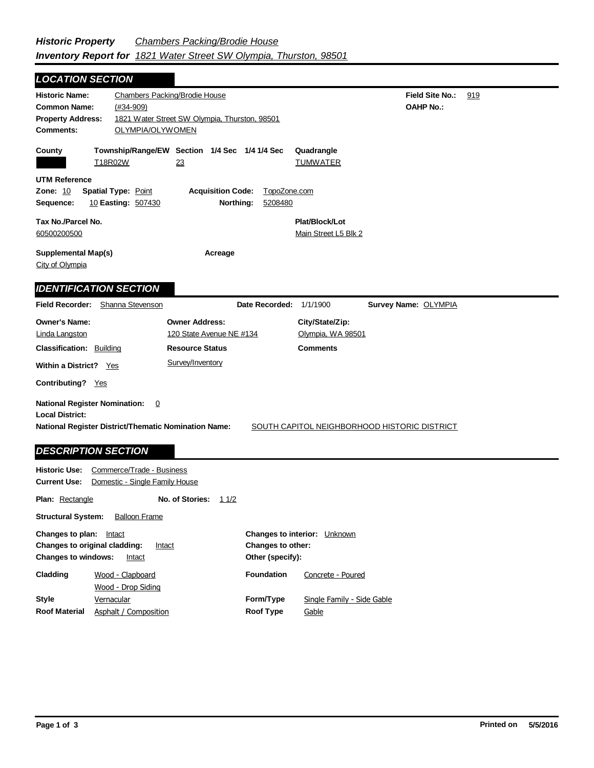## Field Site No.: 919 **OAHP No.: Historic Name:** Chambers Packing/Brodie House **Common Name:** (#34-909) **County Plat/Block/Lot** Main Street L5 Blk 2 **Supplemental Map(s) Acreage** City of Olympia **Tax No./Parcel No.** 60500200500 **Property Address:** 1821 Water Street SW Olympia, Thurston, 98501 *LOCATION SECTION* **Comments:** OLYMPIA/OLYWOMEN **Quadrangle UTM Reference Township/Range/EW Section 1/4 Sec 1/4 1/4 Sec Owner Address:** 120 State Avenue NE #134 **Field Recorder:** Shanna Stevenson **Owner's Name:** Linda Langston **City/State/Zip:** Olympia, WA 98501 **National Register District/Thematic Nomination Name:** SOUTH CAPITOL NEIGHBORHOOD HISTORIC DISTRICT **Local District: Date Recorded:** 1/1/1900 **Classification:** Building Within a District? Yes **Contributing?** Yes **Comments National Register Nomination:** 0 **Resource Status Survey Name:** OLYMPIA *IDENTIFICATION SECTION DESCRIPTION SECTION* T18R02W 23 TUMWATER **Zone:** 10 **Spatial Type:** Point **Acquisition Code:** TopoZone.com **Sequence:** 10 **Easting:** 507430 **Northing:** 5208480 Survey/Inventory

| <b>Historic Use:</b><br><b>Current Use:</b>                                                                   | Commerce/Trade - Business<br>Domestic - Single Family House |                      |                                                                              |                                     |  |  |
|---------------------------------------------------------------------------------------------------------------|-------------------------------------------------------------|----------------------|------------------------------------------------------------------------------|-------------------------------------|--|--|
| <b>Plan: Rectangle</b>                                                                                        |                                                             | No. of Stories: 11/2 |                                                                              |                                     |  |  |
| <b>Structural System:</b><br><b>Balloon Frame</b>                                                             |                                                             |                      |                                                                              |                                     |  |  |
| Changes to plan:<br>Intact<br>Changes to original cladding:<br>Intact<br><b>Changes to windows:</b><br>Intact |                                                             |                      | <b>Changes to interior:</b> Unknown<br>Changes to other:<br>Other (specify): |                                     |  |  |
| Cladding                                                                                                      | Wood - Clapboard                                            |                      | <b>Foundation</b>                                                            | Concrete - Poured                   |  |  |
| <b>Style</b><br><b>Roof Material</b>                                                                          | Wood - Drop Siding<br>Vernacular<br>Asphalt / Composition   |                      | Form/Type<br>Roof Type                                                       | Single Family - Side Gable<br>Gable |  |  |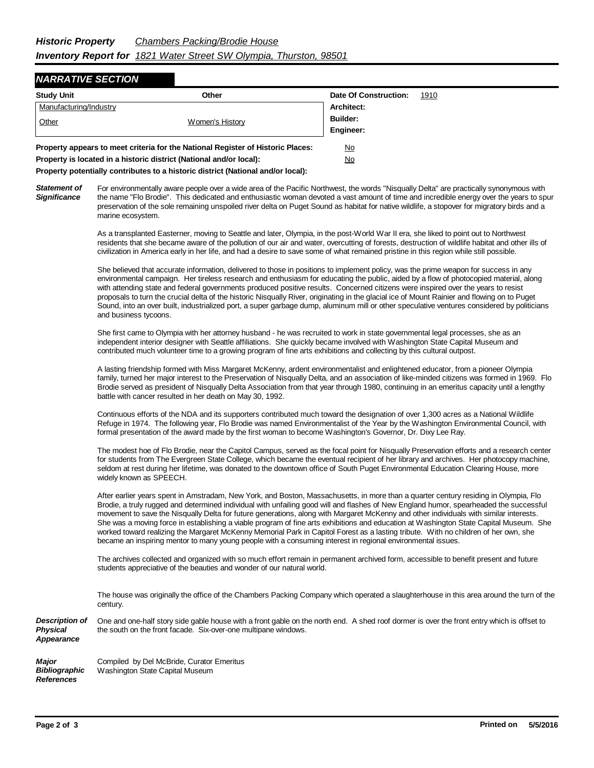## *NARRATIVE SECTION*

| <b>Study Unit</b>                                                               | Other           | Date Of Construction: | 1910 |
|---------------------------------------------------------------------------------|-----------------|-----------------------|------|
| Manufacturing/Industry                                                          |                 | Architect:            |      |
| Other                                                                           | Women's History | Builder:              |      |
|                                                                                 |                 | Engineer:             |      |
| Property appears to meet criteria for the National Register of Historic Places: | <u>No</u>       |                       |      |
| Property is located in a historic district (National and/or local):             | <u>No</u>       |                       |      |

**Property potentially contributes to a historic district (National and/or local):**

*Statement of Significance* For environmentally aware people over a wide area of the Pacific Northwest, the words "Nisqually Delta" are practically synonymous with the name "Flo Brodie". This dedicated and enthusiastic woman devoted a vast amount of time and incredible energy over the years to spur preservation of the sole remaining unspoiled river delta on Puget Sound as habitat for native wildlife, a stopover for migratory birds and a marine ecosystem.

> As a transplanted Easterner, moving to Seattle and later, Olympia, in the post-World War II era, she liked to point out to Northwest residents that she became aware of the pollution of our air and water, overcutting of forests, destruction of wildlife habitat and other ills of civilization in America early in her life, and had a desire to save some of what remained pristine in this region while still possible.

> She believed that accurate information, delivered to those in positions to implement policy, was the prime weapon for success in any environmental campaign. Her tireless research and enthusiasm for educating the public, aided by a flow of photocopied material, along with attending state and federal governments produced positive results. Concerned citizens were inspired over the years to resist proposals to turn the crucial delta of the historic Nisqually River, originating in the glacial ice of Mount Rainier and flowing on to Puget Sound, into an over built, industrialized port, a super garbage dump, aluminum mill or other speculative ventures considered by politicians and business tycoons.

She first came to Olympia with her attorney husband - he was recruited to work in state governmental legal processes, she as an independent interior designer with Seattle affiliations. She quickly became involved with Washington State Capital Museum and contributed much volunteer time to a growing program of fine arts exhibitions and collecting by this cultural outpost.

A lasting friendship formed with Miss Margaret McKenny, ardent environmentalist and enlightened educator, from a pioneer Olympia family, turned her major interest to the Preservation of Nisqually Delta, and an association of like-minded citizens was formed in 1969. Flo Brodie served as president of Nisqually Delta Association from that year through 1980, continuing in an emeritus capacity until a lengthy battle with cancer resulted in her death on May 30, 1992.

Continuous efforts of the NDA and its supporters contributed much toward the designation of over 1,300 acres as a National Wildlife Refuge in 1974. The following year, Flo Brodie was named Environmentalist of the Year by the Washington Environmental Council, with formal presentation of the award made by the first woman to become Washington's Governor, Dr. Dixy Lee Ray.

The modest hoe of Flo Brodie, near the Capitol Campus, served as the focal point for Nisqually Preservation efforts and a research center for students from The Evergreen State College, which became the eventual recipient of her library and archives. Her photocopy machine, seldom at rest during her lifetime, was donated to the downtown office of South Puget Environmental Education Clearing House, more widely known as SPEECH.

After earlier years spent in Amstradam, New York, and Boston, Massachusetts, in more than a quarter century residing in Olympia, Flo Brodie, a truly rugged and determined individual with unfailing good will and flashes of New England humor, spearheaded the successful movement to save the Nisqually Delta for future generations, along with Margaret McKenny and other individuals with similar interests. She was a moving force in establishing a viable program of fine arts exhibitions and education at Washington State Capital Museum. She worked toward realizing the Margaret McKenny Memorial Park in Capitol Forest as a lasting tribute. With no children of her own, she became an inspiring mentor to many young people with a consuming interest in regional environmental issues.

The archives collected and organized with so much effort remain in permanent archived form, accessible to benefit present and future students appreciative of the beauties and wonder of our natural world.

The house was originally the office of the Chambers Packing Company which operated a slaughterhouse in this area around the turn of the century.

*Description of Physical Appearance* One and one-half story side gable house with a front gable on the north end. A shed roof dormer is over the front entry which is offset to the south on the front facade. Six-over-one multipane windows.

*Major Bibliographic References* Compiled by Del McBride, Curator Emeritus Washington State Capital Museum